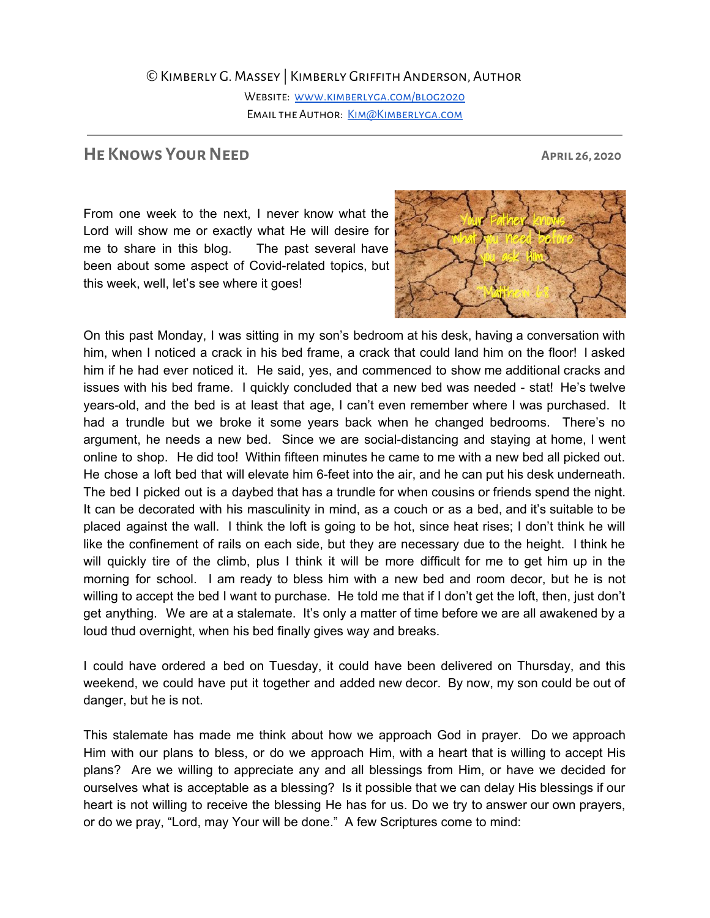## ©Kimberly G. Massey | Kimberly Griffith Anderson, Author

WEBSITE: WWW.KIMBERLYGA.COM/BLOG2020 EMAIL THE AUTHOR: KIM@KIMBERLYGA.COM

## **HE** KNOWS YOUR NEED APRIL 26, 2020

From one week to the next, I never know what the Lord will show me or exactly what He will desire for me to share in this blog. The past several have been about some aspect of Covid-related topics, but this week, well, let's see where it goes!



On this past Monday, I was sitting in my son's bedroom at his desk, having a conversation with him, when I noticed a crack in his bed frame, a crack that could land him on the floor! I asked him if he had ever noticed it. He said, yes, and commenced to show me additional cracks and issues with his bed frame. I quickly concluded that a new bed was needed - stat! He's twelve years-old, and the bed is at least that age, I can't even remember where I was purchased. It had a trundle but we broke it some years back when he changed bedrooms. There's no argument, he needs a new bed. Since we are social-distancing and staying at home, I went online to shop. He did too! Within fifteen minutes he came to me with a new bed all picked out. He chose a loft bed that will elevate him 6-feet into the air, and he can put his desk underneath. The bed I picked out is a daybed that has a trundle for when cousins or friends spend the night. It can be decorated with his masculinity in mind, as a couch or as a bed, and it's suitable to be placed against the wall. I think the loft is going to be hot, since heat rises; I don't think he will like the confinement of rails on each side, but they are necessary due to the height. I think he will quickly tire of the climb, plus I think it will be more difficult for me to get him up in the morning for school. I am ready to bless him with a new bed and room decor, but he is not willing to accept the bed I want to purchase. He told me that if I don't get the loft, then, just don't get anything. We are at a stalemate. It's only a matter of time before we are all awakened by a loud thud overnight, when his bed finally gives way and breaks.

I could have ordered a bed on Tuesday, it could have been delivered on Thursday, and this weekend, we could have put it together and added new decor. By now, my son could be out of danger, but he is not.

This stalemate has made me think about how we approach God in prayer. Do we approach Him with our plans to bless, or do we approach Him, with a heart that is willing to accept His plans? Are we willing to appreciate any and all blessings from Him, or have we decided for ourselves what is acceptable as a blessing? Is it possible that we can delay His blessings if our heart is not willing to receive the blessing He has for us. Do we try to answer our own prayers, or do we pray, "Lord, may Your will be done." A few Scriptures come to mind: